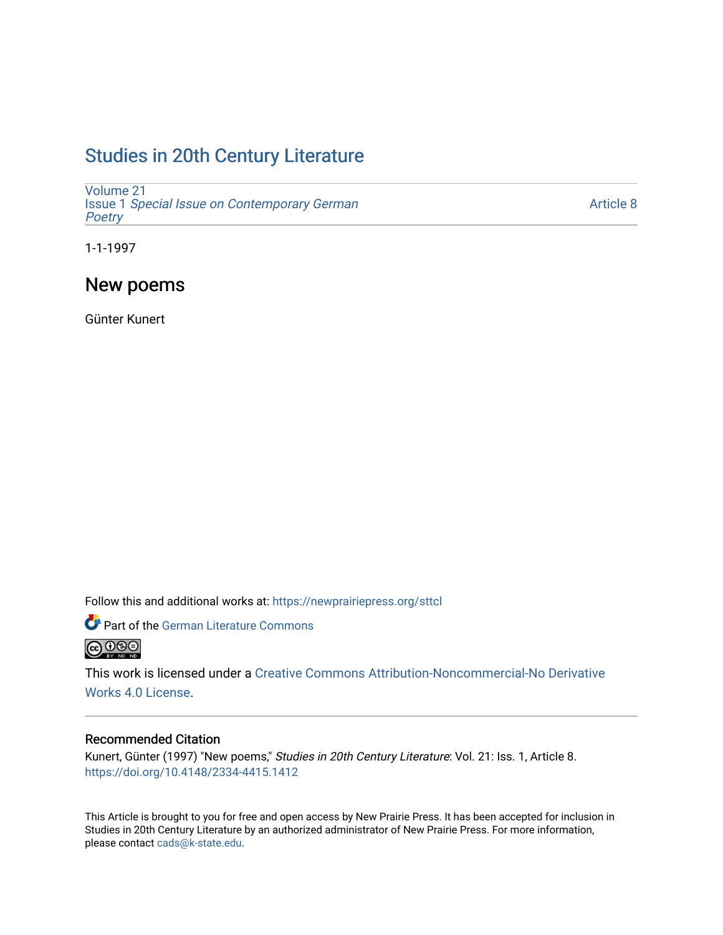# [Studies in 20th Century Literature](https://newprairiepress.org/sttcl)

[Volume 21](https://newprairiepress.org/sttcl/vol21) Issue 1 [Special Issue on Contemporary German](https://newprairiepress.org/sttcl/vol21/iss1) **Poetry** 

[Article 8](https://newprairiepress.org/sttcl/vol21/iss1/8) 

1-1-1997

## New poems

Günter Kunert

Follow this and additional works at: [https://newprairiepress.org/sttcl](https://newprairiepress.org/sttcl?utm_source=newprairiepress.org%2Fsttcl%2Fvol21%2Fiss1%2F8&utm_medium=PDF&utm_campaign=PDFCoverPages) 



This work is licensed under a [Creative Commons Attribution-Noncommercial-No Derivative](https://creativecommons.org/licenses/by-nc-nd/4.0/)  [Works 4.0 License](https://creativecommons.org/licenses/by-nc-nd/4.0/).

#### Recommended Citation

Kunert, Günter (1997) "New poems," Studies in 20th Century Literature: Vol. 21: Iss. 1, Article 8. <https://doi.org/10.4148/2334-4415.1412>

This Article is brought to you for free and open access by New Prairie Press. It has been accepted for inclusion in Studies in 20th Century Literature by an authorized administrator of New Prairie Press. For more information, please contact [cads@k-state.edu.](mailto:cads@k-state.edu)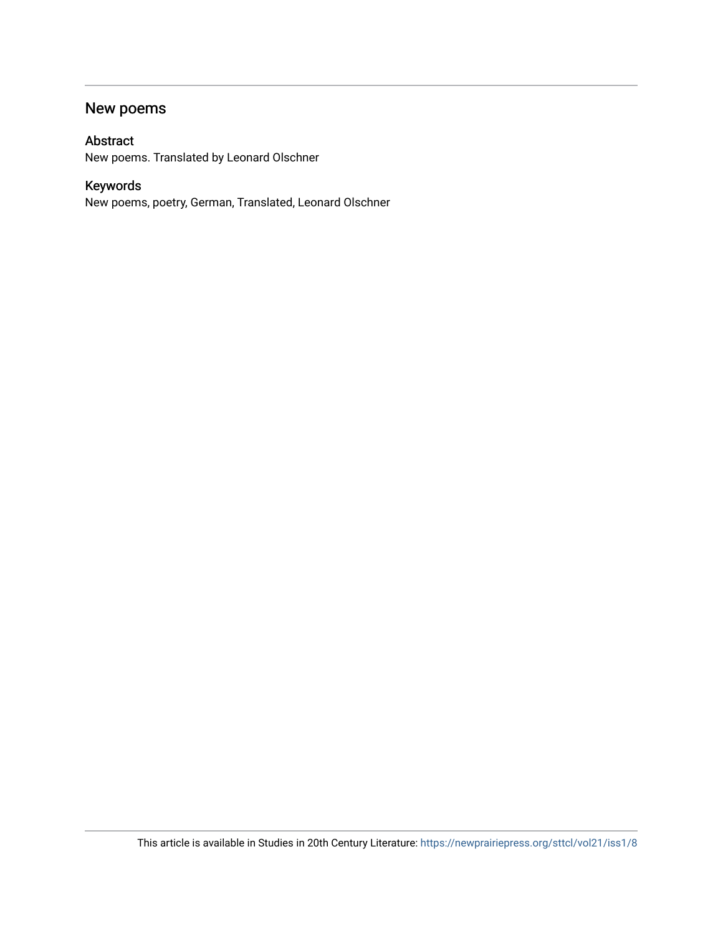## New poems

### Abstract

New poems. Translated by Leonard Olschner

## Keywords

New poems, poetry, German, Translated, Leonard Olschner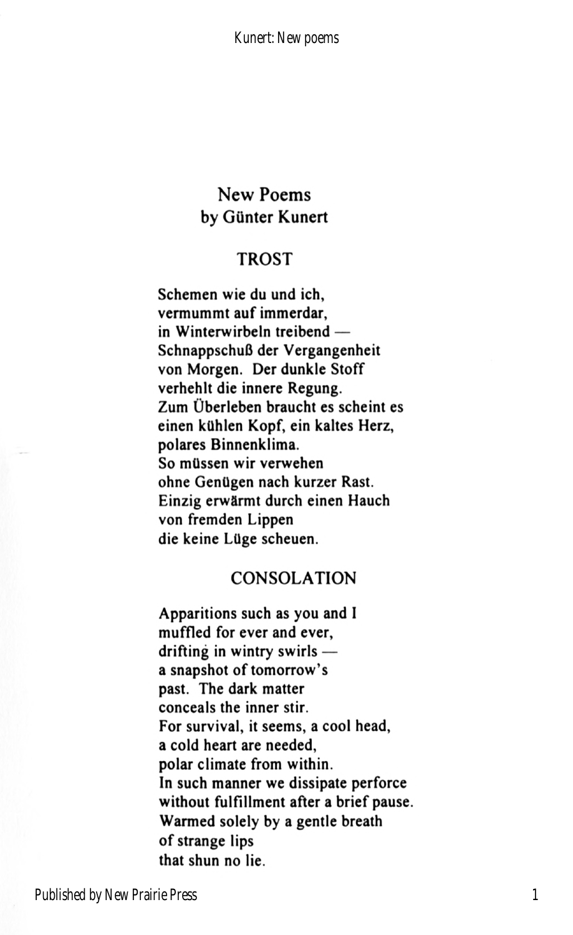### New Poems by Gunter Kunert

### TROST

Schemen wie du und ich, vermummt auf immerdar,  $in$  Winterwirbeln treibend  $-$ SchnappschuB der Vergangenheit von Morgen. Der dunkle Stoff verhehlt die innere Regung. Zum Uberleben braucht es scheint es einen kUhlen Kopf, ein kaltes Herz, polares Binnenklima. So mUssen wir verwehen ohne Genügen nach kurzer Rast. Einzig erwarmt durch einen Hauch von fremden Lippen die keine Lüge scheuen.

#### CONSOLATION

Apparitions such as you and I muffled for ever and ever, drifting in wintry swirls  $$ a snapshot of tomorrow's past. The dark matter conceals the inner stir. For survival, it seems, a cool head, <sup>a</sup>cold heart are needed, polar climate from within. In such manner we dissipate perforce without fulfillment after a brief pause. Warmed solely by a gentle breath of strange lips that shun no lie.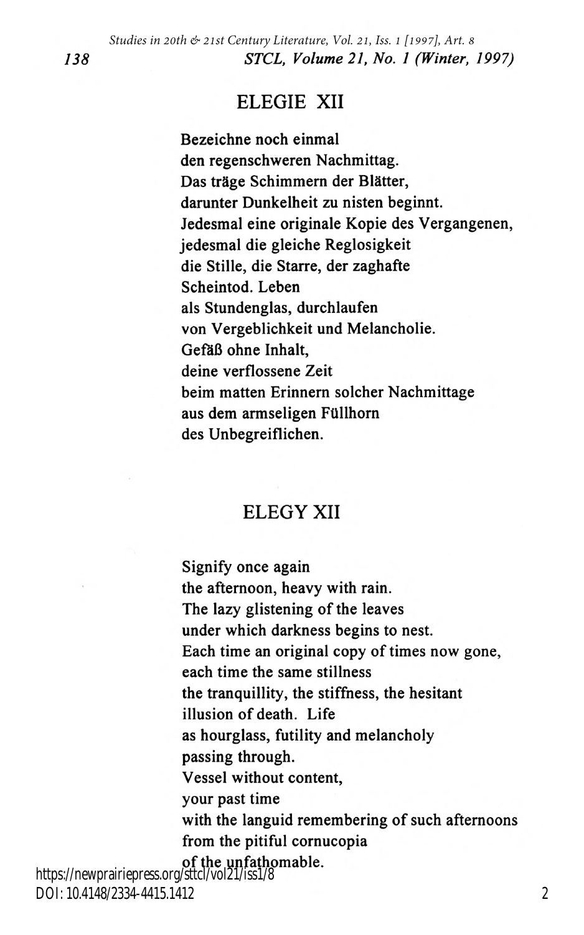#### ELEGIE XII

Bezeichne noch einmal den regenschweren Nachmittag. Das träge Schimmern der Blätter, darunter Dunkelheit zu nisten beginnt. Jedesmal eine originale Kopie des Vergangenen, jedesmal die gleiche Reglosigkeit die Stille, die Starre, der zaghafte Scheintod. Leben als Stundenglas, durchlaufen von Vergeblichkeit and Melancholie. Gefäß ohne Inhalt, deine verflossene Zeit beim matten Erinnern solcher Nachmittage aus dem armseligen Ftlllhorn des Unbegreiflichen.

### ELEGY XII

Signify once again the afternoon, heavy with rain. The lazy glistening of the leaves under which darkness begins to nest. Each time an original copy of times now gone, each time the same stillness the tranquillity, the stiffness, the hesitant illusion of death. Life as hourglass, futility and melancholy passing through. Vessel without content, your past time with the languid remembering of such afternoons from the pitiful cornucopia of the unfathomable.

https://newprairiepress.org/sttcl/vol21/iss1/8 DOI: 10.4148/2334-4415.1412